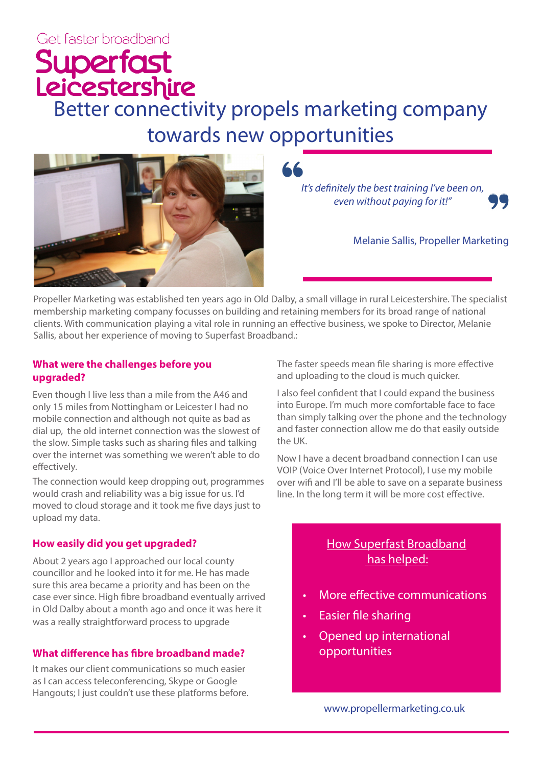# Get faster broadband

# Superfast<br>Leicestershire<br>Better connectivity propels marketing company towards new opportunities



*It's definitely the best training I've been on, even without paying for it!"*

Melanie Sallis, Propeller Marketing

Propeller Marketing was established ten years ago in Old Dalby, a small village in rural Leicestershire. The specialist membership marketing company focusses on building and retaining members for its broad range of national clients. With communication playing a vital role in running an effective business, we spoke to Director, Melanie Sallis, about her experience of moving to Superfast Broadband.:

#### **What were the challenges before you upgraded?**

Even though I live less than a mile from the A46 and only 15 miles from Nottingham or Leicester I had no mobile connection and although not quite as bad as dial up, the old internet connection was the slowest of the slow. Simple tasks such as sharing files and talking over the internet was something we weren't able to do effectively.

The connection would keep dropping out, programmes would crash and reliability was a big issue for us. I'd moved to cloud storage and it took me five days just to upload my data.

### **How easily did you get upgraded?**

About 2 years ago I approached our local county councillor and he looked into it for me. He has made sure this area became a priority and has been on the case ever since. High fibre broadband eventually arrived in Old Dalby about a month ago and once it was here it was a really straightforward process to upgrade

## **What difference has fibre broadband made?**

It makes our client communications so much easier as I can access teleconferencing, Skype or Google Hangouts; I just couldn't use these platforms before. The faster speeds mean file sharing is more effective and uploading to the cloud is much quicker.

I also feel confident that I could expand the business into Europe. I'm much more comfortable face to face than simply talking over the phone and the technology and faster connection allow me do that easily outside the UK.

Now I have a decent broadband connection I can use VOIP (Voice Over Internet Protocol), I use my mobile over wifi and I'll be able to save on a separate business line. In the long term it will be more cost effective.

# How Superfast Broadband has helped:

- More effective communications
- Easier file sharing
- Opened up international opportunities

www.propellermarketing.co.uk